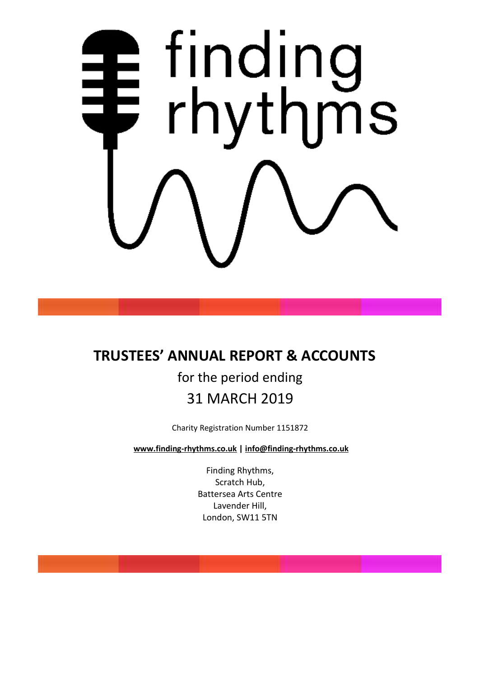

# **TRUSTEES' ANNUAL REPORT & ACCOUNTS**

# for the period ending 31 MARCH 2019

Charity Registration Number 1151872

**[www.finding-rhythms.co.uk](http://www.finding-rhythms.co.uk/) [| info@finding-rhythms.co.uk](mailto:info@finding-rhythms.co.uk)**

Finding Rhythms, Scratch Hub, Battersea Arts Centre Lavender Hill, London, SW11 5TN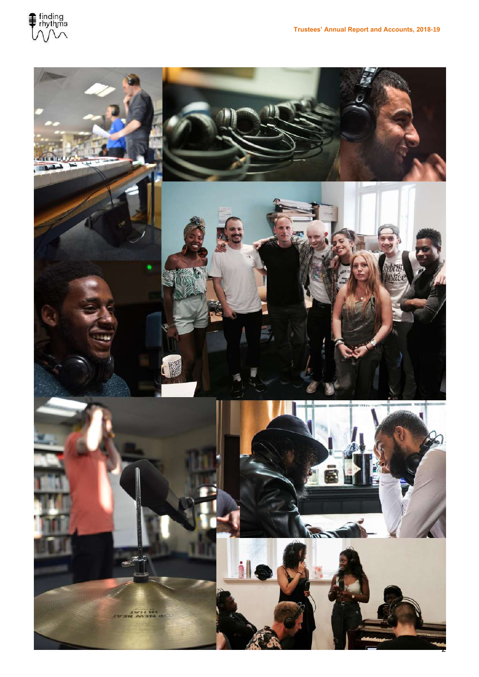

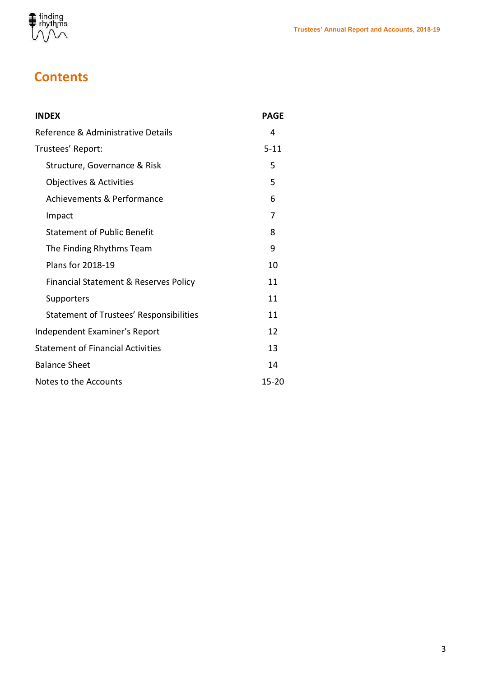

# **Contents**

| <b>INDEX</b>                             | <b>PAGE</b> |
|------------------------------------------|-------------|
| Reference & Administrative Details       | 4           |
| Trustees' Report:                        | $5 - 11$    |
| Structure, Governance & Risk             | 5           |
| Objectives & Activities                  | 5           |
| Achievements & Performance               | 6           |
| Impact                                   | 7           |
| <b>Statement of Public Benefit</b>       | 8           |
| The Finding Rhythms Team                 | 9           |
| <b>Plans for 2018-19</b>                 | 10          |
| Financial Statement & Reserves Policy    | 11          |
| Supporters                               | 11          |
| Statement of Trustees' Responsibilities  | 11          |
| Independent Examiner's Report            | 12          |
| <b>Statement of Financial Activities</b> | 13          |
| <b>Balance Sheet</b>                     | 14          |
| Notes to the Accounts                    | 15-20       |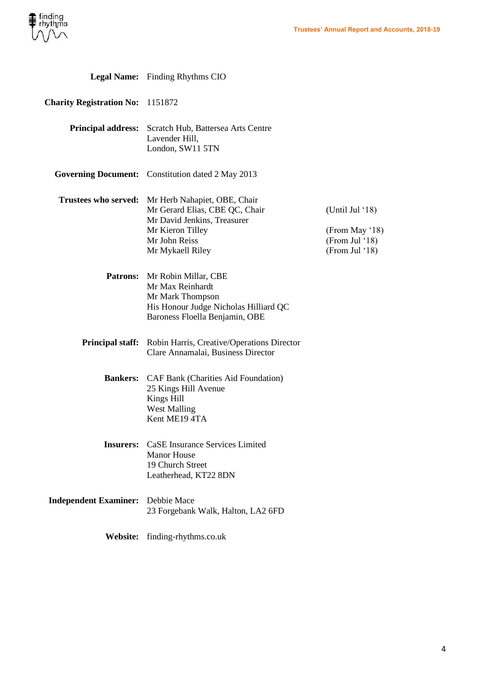

| <b>Charity Registration No: 1151872</b> |                                                                                                                                                                             |                                                                          |
|-----------------------------------------|-----------------------------------------------------------------------------------------------------------------------------------------------------------------------------|--------------------------------------------------------------------------|
|                                         | Principal address: Scratch Hub, Battersea Arts Centre<br>Lavender Hill,<br>London, SW11 5TN                                                                                 |                                                                          |
|                                         | <b>Governing Document:</b> Constitution dated 2 May 2013                                                                                                                    |                                                                          |
|                                         | Trustees who served: Mr Herb Nahapiet, OBE, Chair<br>Mr Gerard Elias, CBE QC, Chair<br>Mr David Jenkins, Treasurer<br>Mr Kieron Tilley<br>Mr John Reiss<br>Mr Mykaell Riley | (Until Jul $'18$ )<br>(From May '18)<br>(From Jul '18)<br>(From Jul '18) |
|                                         | Patrons: Mr Robin Millar, CBE<br>Mr Max Reinhardt<br>Mr Mark Thompson<br>His Honour Judge Nicholas Hilliard QC<br>Baroness Floella Benjamin, OBE                            |                                                                          |
|                                         | <b>Principal staff:</b> Robin Harris, Creative/Operations Director<br>Clare Annamalai, Business Director                                                                    |                                                                          |
|                                         | <b>Bankers:</b> CAF Bank (Charities Aid Foundation)<br>25 Kings Hill Avenue<br>Kings Hill<br><b>West Malling</b><br>Kent ME194TA                                            |                                                                          |
|                                         | <b>Insurers:</b> CaSE Insurance Services Limited<br><b>Manor House</b><br>19 Church Street<br>Leatherhead, KT22 8DN                                                         |                                                                          |
| <b>Independent Examiner:</b>            | Debbie Mace<br>23 Forgebank Walk, Halton, LA2 6FD                                                                                                                           |                                                                          |
|                                         | Website: finding-rhythms.co.uk                                                                                                                                              |                                                                          |

**Legal Name:** Finding Rhythms CIO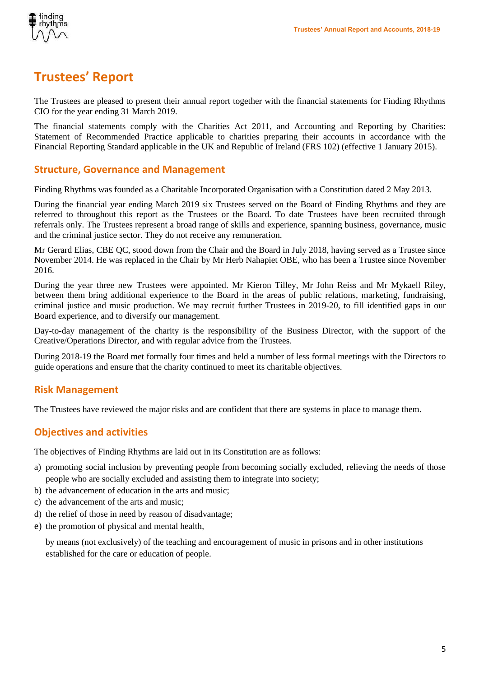## **Trustees' Report**

The Trustees are pleased to present their annual report together with the financial statements for Finding Rhythms CIO for the year ending 31 March 2019.

The financial statements comply with the Charities Act 2011, and Accounting and Reporting by Charities: Statement of Recommended Practice applicable to charities preparing their accounts in accordance with the Financial Reporting Standard applicable in the UK and Republic of Ireland (FRS 102) (effective 1 January 2015).

## **Structure, Governance and Management**

Finding Rhythms was founded as a Charitable Incorporated Organisation with a Constitution dated 2 May 2013.

During the financial year ending March 2019 six Trustees served on the Board of Finding Rhythms and they are referred to throughout this report as the Trustees or the Board. To date Trustees have been recruited through referrals only. The Trustees represent a broad range of skills and experience, spanning business, governance, music and the criminal justice sector. They do not receive any remuneration.

Mr Gerard Elias, CBE QC, stood down from the Chair and the Board in July 2018, having served as a Trustee since November 2014. He was replaced in the Chair by Mr Herb Nahapiet OBE, who has been a Trustee since November 2016.

During the year three new Trustees were appointed. Mr Kieron Tilley, Mr John Reiss and Mr Mykaell Riley, between them bring additional experience to the Board in the areas of public relations, marketing, fundraising, criminal justice and music production. We may recruit further Trustees in 2019-20, to fill identified gaps in our Board experience, and to diversify our management.

Day-to-day management of the charity is the responsibility of the Business Director, with the support of the Creative/Operations Director, and with regular advice from the Trustees.

During 2018-19 the Board met formally four times and held a number of less formal meetings with the Directors to guide operations and ensure that the charity continued to meet its charitable objectives.

## **Risk Management**

The Trustees have reviewed the major risks and are confident that there are systems in place to manage them.

## **Objectives and activities**

The objectives of Finding Rhythms are laid out in its Constitution are as follows:

- a) promoting social inclusion by preventing people from becoming socially excluded, relieving the needs of those people who are socially excluded and assisting them to integrate into society;
- b) the advancement of education in the arts and music;
- c) the advancement of the arts and music;
- d) the relief of those in need by reason of disadvantage;
- e) the promotion of physical and mental health,

by means (not exclusively) of the teaching and encouragement of music in prisons and in other institutions established for the care or education of people.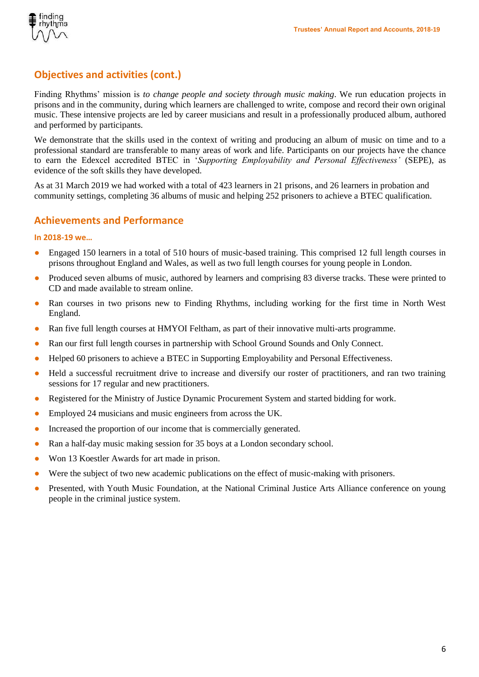

## **Objectives and activities (cont.)**

Finding Rhythms' mission is *to change people and society through music making*. We run education projects in prisons and in the community, during which learners are challenged to write, compose and record their own original music. These intensive projects are led by career musicians and result in a professionally produced album, authored and performed by participants.

We demonstrate that the skills used in the context of writing and producing an album of music on time and to a professional standard are transferable to many areas of work and life. Participants on our projects have the chance to earn the Edexcel accredited BTEC in '*Supporting Employability and Personal Effectiveness'* (SEPE), as evidence of the soft skills they have developed.

As at 31 March 2019 we had worked with a total of 423 learners in 21 prisons, and 26 learners in probation and community settings, completing 36 albums of music and helping 252 prisoners to achieve a BTEC qualification.

## **Achievements and Performance**

#### **In 2018-19 we…**

- Engaged 150 learners in a total of 510 hours of music-based training. This comprised 12 full length courses in prisons throughout England and Wales, as well as two full length courses for young people in London.
- Produced seven albums of music, authored by learners and comprising 83 diverse tracks. These were printed to CD and made available to stream online.
- Ran courses in two prisons new to Finding Rhythms, including working for the first time in North West England.
- Ran five full length courses at HMYOI Feltham, as part of their innovative multi-arts programme.
- Ran our first full length courses in partnership with School Ground Sounds and Only Connect.
- Helped 60 prisoners to achieve a BTEC in Supporting Employability and Personal Effectiveness.
- Held a successful recruitment drive to increase and diversify our roster of practitioners, and ran two training sessions for 17 regular and new practitioners.
- Registered for the Ministry of Justice Dynamic Procurement System and started bidding for work.
- Employed 24 musicians and music engineers from across the UK.
- Increased the proportion of our income that is commercially generated.
- Ran a half-day music making session for 35 boys at a London secondary school.
- Won 13 Koestler Awards for art made in prison.
- Were the subject of two new academic publications on the effect of music-making with prisoners.
- Presented, with Youth Music Foundation, at the National Criminal Justice Arts Alliance conference on young people in the criminal justice system.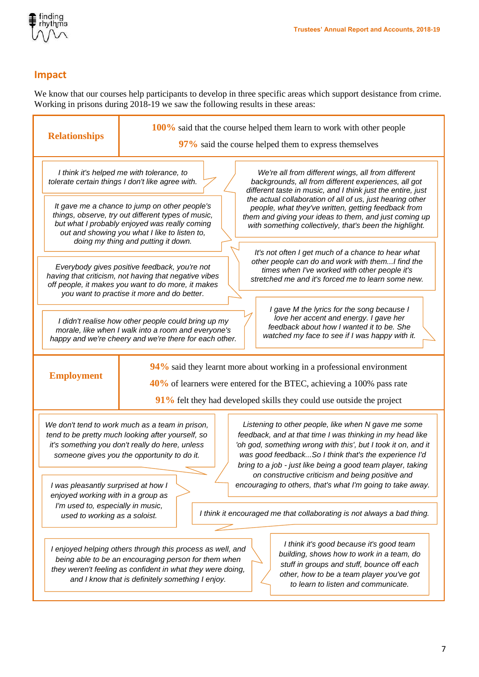

## **Impact**

We know that our courses help participants to develop in three specific areas which support desistance from crime. Working in prisons during 2018-19 we saw the following results in these areas:

| <b>Relationships</b>                                                                                                                            | 100% said that the course helped them learn to work with other people<br>$97\%$ said the course helped them to express themselves                                                                                                                                                                                                                                                                                                                                                                                                                                                                                                                                                                                            |  |  |  |  |
|-------------------------------------------------------------------------------------------------------------------------------------------------|------------------------------------------------------------------------------------------------------------------------------------------------------------------------------------------------------------------------------------------------------------------------------------------------------------------------------------------------------------------------------------------------------------------------------------------------------------------------------------------------------------------------------------------------------------------------------------------------------------------------------------------------------------------------------------------------------------------------------|--|--|--|--|
|                                                                                                                                                 | I think it's helped me with tolerance, to<br>We're all from different wings, all from different<br>tolerate certain things I don't like agree with.<br>backgrounds, all from different experiences, all got<br>different taste in music, and I think just the entire, just<br>the actual collaboration of all of us, just hearing other<br>It gave me a chance to jump on other people's<br>people, what they've written, getting feedback from<br>things, observe, try out different types of music,<br>them and giving your ideas to them, and just coming up<br>but what I probably enjoyed was really coming<br>with something collectively, that's been the highlight.<br>out and showing you what I like to listen to, |  |  |  |  |
|                                                                                                                                                 | doing my thing and putting it down.<br>It's not often I get much of a chance to hear what<br>other people can do and work with themI find the<br>Everybody gives positive feedback, you're not<br>times when I've worked with other people it's<br>having that criticism, not having that negative vibes<br>stretched me and it's forced me to learn some new.<br>off people, it makes you want to do more, it makes<br>you want to practise it more and do better.                                                                                                                                                                                                                                                          |  |  |  |  |
|                                                                                                                                                 | I gave M the lyrics for the song because I<br>love her accent and energy. I gave her<br>I didn't realise how other people could bring up my<br>feedback about how I wanted it to be. She<br>morale, like when I walk into a room and everyone's<br>watched my face to see if I was happy with it.<br>happy and we're cheery and we're there for each other.                                                                                                                                                                                                                                                                                                                                                                  |  |  |  |  |
| <b>Employment</b>                                                                                                                               | 94% said they learnt more about working in a professional environment<br>40% of learners were entered for the BTEC, achieving a 100% pass rate<br>91% felt they had developed skills they could use outside the project                                                                                                                                                                                                                                                                                                                                                                                                                                                                                                      |  |  |  |  |
|                                                                                                                                                 | Listening to other people, like when N gave me some<br>We don't tend to work much as a team in prison,<br>feedback, and at that time I was thinking in my head like<br>tend to be pretty much looking after yourself, so<br>it's something you don't really do here, unless<br>'oh god, something wrong with this', but I took it on, and it<br>was good feedbackSo I think that's the experience I'd<br>someone gives you the opportunity to do it.<br>bring to a job - just like being a good team player, taking                                                                                                                                                                                                          |  |  |  |  |
| I was pleasantly surprised at how I<br>enjoyed working with in a group as<br>I'm used to, especially in music,<br>used to working as a soloist. | on constructive criticism and being positive and<br>encouraging to others, that's what I'm going to take away.<br>I think it encouraged me that collaborating is not always a bad thing.                                                                                                                                                                                                                                                                                                                                                                                                                                                                                                                                     |  |  |  |  |
|                                                                                                                                                 | I think it's good because it's good team<br>I enjoyed helping others through this process as well, and<br>building, shows how to work in a team, do<br>being able to be an encouraging person for them when<br>stuff in groups and stuff, bounce off each<br>they weren't feeling as confident in what they were doing,<br>other, how to be a team player you've got<br>and I know that is definitely something I enjoy.<br>to learn to listen and communicate.                                                                                                                                                                                                                                                              |  |  |  |  |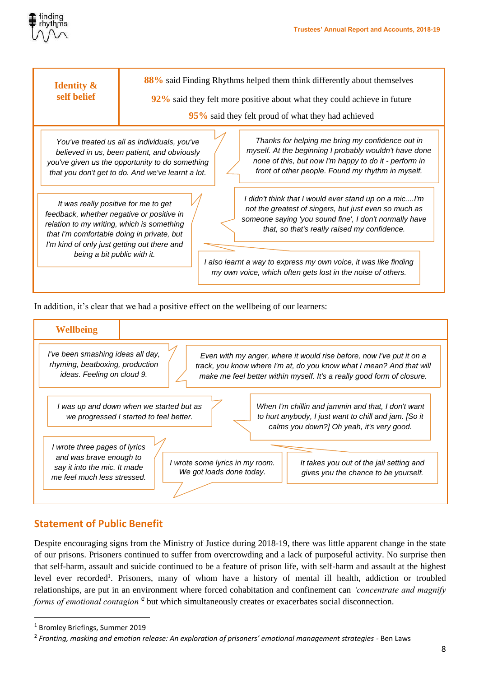| <b>Identity &amp;</b><br>self belief        | 88% said Finding Rhythms helped them think differently about themselves<br>$92\%$ said they felt more positive about what they could achieve in future<br>95% said they felt proud of what they had achieved                                                                                                                                                                                                                    |  |  |  |  |
|---------------------------------------------|---------------------------------------------------------------------------------------------------------------------------------------------------------------------------------------------------------------------------------------------------------------------------------------------------------------------------------------------------------------------------------------------------------------------------------|--|--|--|--|
|                                             | Thanks for helping me bring my confidence out in<br>You've treated us all as individuals, you've<br>myself. At the beginning I probably wouldn't have done<br>believed in us, been patient, and obviously<br>none of this, but now I'm happy to do it - perform in<br>you've given us the opportunity to do something<br>front of other people. Found my rhythm in myself.<br>that you don't get to do. And we've learnt a lot. |  |  |  |  |
| It was really positive for me to get        | I didn't think that I would ever stand up on a micI'm                                                                                                                                                                                                                                                                                                                                                                           |  |  |  |  |
| feedback, whether negative or positive in   | not the greatest of singers, but just even so much as                                                                                                                                                                                                                                                                                                                                                                           |  |  |  |  |
| relation to my writing, which is something  | someone saying 'you sound fine', I don't normally have                                                                                                                                                                                                                                                                                                                                                                          |  |  |  |  |
| that I'm comfortable doing in private, but  | that, so that's really raised my confidence.                                                                                                                                                                                                                                                                                                                                                                                    |  |  |  |  |
| I'm kind of only just getting out there and | I also learnt a way to express my own voice, it was like finding                                                                                                                                                                                                                                                                                                                                                                |  |  |  |  |
| being a bit public with it.                 | my own voice, which often gets lost in the noise of others.                                                                                                                                                                                                                                                                                                                                                                     |  |  |  |  |

In addition, it's clear that we had a positive effect on the wellbeing of our learners:



## **Statement of Public Benefit**

Despite encouraging signs from the Ministry of Justice during 2018-19, there was little apparent change in the state of our prisons. Prisoners continued to suffer from overcrowding and a lack of purposeful activity. No surprise then that self-harm, assault and suicide continued to be a feature of prison life, with self-harm and assault at the highest level ever recorded<sup>1</sup>. Prisoners, many of whom have a history of mental ill health, addiction or troubled relationships, are put in an environment where forced cohabitation and confinement can *'concentrate and magnify forms of emotional contagion'<sup>2</sup>* but which simultaneously creates or exacerbates social disconnection.

<sup>1</sup> Bromley Briefings, Summer 2019

<sup>&</sup>lt;sup>2</sup> Fronting, masking and emotion release: An exploration of prisoners' emotional management strategies - Ben Laws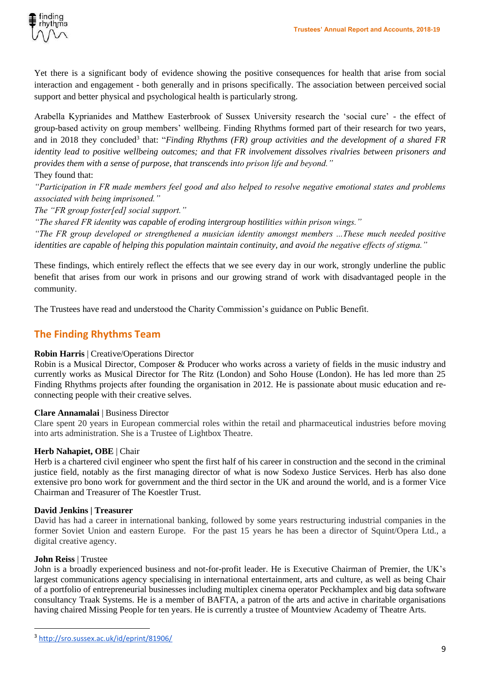Yet there is a significant body of evidence showing the positive consequences for health that arise from social interaction and engagement - both generally and in prisons specifically. The association between perceived social support and better physical and psychological health is particularly strong.

Arabella Kyprianides and Matthew Easterbrook of Sussex University research the 'social cure' - the effect of group-based activity on group members' wellbeing. Finding Rhythms formed part of their research for two years, and in 2018 they concluded<sup>3</sup> that: "*Finding Rhythms (FR) group activities and the development of a shared FR identity lead to positive wellbeing outcomes; and that FR involvement dissolves rivalries between prisoners and provides them with a sense of purpose, that transcends into prison life and beyond."* 

They found that:

*"Participation in FR made members feel good and also helped to resolve negative emotional states and problems associated with being imprisoned."* 

*The "FR group foster[ed] social support."* 

*"The shared FR identity was capable of eroding intergroup hostilities within prison wings."*

*"The FR group developed or strengthened a musician identity amongst members ...These much needed positive identities are capable of helping this population maintain continuity, and avoid the negative effects of stigma."*

These findings, which entirely reflect the effects that we see every day in our work, strongly underline the public benefit that arises from our work in prisons and our growing strand of work with disadvantaged people in the community.

The Trustees have read and understood the Charity Commission's guidance on Public Benefit.

## **The Finding Rhythms Team**

#### **Robin Harris** | Creative/Operations Director

Robin is a Musical Director, Composer & Producer who works across a variety of fields in the music industry and currently works as Musical Director for The Ritz (London) and Soho House (London). He has led more than 25 Finding Rhythms projects after founding the organisation in 2012. He is passionate about music education and reconnecting people with their creative selves.

#### **Clare Annamalai** | Business Director

Clare spent 20 years in European commercial roles within the retail and pharmaceutical industries before moving into arts administration. She is a Trustee of Lightbox Theatre.

#### **Herb Nahapiet, OBE** | Chair

Herb is a chartered civil engineer who spent the first half of his career in construction and the second in the criminal justice field, notably as the first managing director of what is now Sodexo Justice Services. Herb has also done extensive pro bono work for government and the third sector in the UK and around the world, and is a former Vice Chairman and Treasurer of The Koestler Trust.

#### **David Jenkins | Treasurer**

David has had a career in international banking, followed by some years restructuring industrial companies in the former Soviet Union and eastern Europe. For the past 15 years he has been a director of Squint/Opera Ltd., a digital creative agency.

#### **John Reiss** | Trustee

John is a broadly experienced business and not-for-profit leader. He is Executive Chairman of [Premier](https://www.premiercomms.com/), the UK's largest communications agency specialising in international entertainment, arts and culture, as well as being Chair of a portfolio of entrepreneurial businesses including multiplex cinema operator [Peckhamplex](http://www.peckhamplex.london/) and big data software consultancy [Traak Systems.](http://traak.com/) He is a member of [BAFTA,](http://www.bafta.org/) a patron of the arts and active in charitable organisations having chaired [Missing People](https://www.missingpeople.org.uk/) for ten years. He is currently a trustee of [Mountview Academy](https://www.mountview.org.uk/) of Theatre Arts.

<sup>3</sup> <http://sro.sussex.ac.uk/id/eprint/81906/>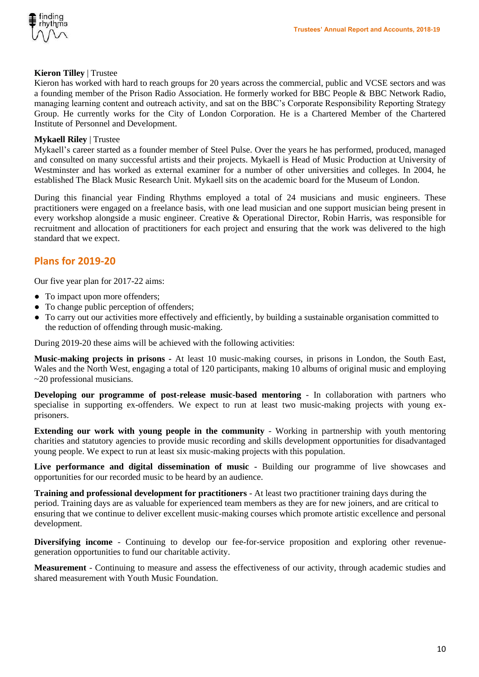#### **Kieron Tilley** | Trustee

Kieron has worked with hard to reach groups for 20 years across the commercial, public and VCSE sectors and was a founding member of the Prison Radio Association. He formerly worked for BBC People & BBC Network Radio, managing learning content and outreach activity, and sat on the BBC's Corporate Responsibility Reporting Strategy Group. He currently works for the City of London Corporation. He is a Chartered Member of the Chartered Institute of Personnel and Development.

#### **Mykaell Riley** | Trustee

Mykaell's career started as a founder member of Steel Pulse. Over the years he has performed, produced, managed and consulted on many successful artists and their projects. Mykaell is Head of Music Production at University of Westminster and has worked as external examiner for a number of other universities and colleges. In 2004, he established The Black Music Research Unit. Mykaell sits on the academic board for the Museum of London.

During this financial year Finding Rhythms employed a total of 24 musicians and music engineers. These practitioners were engaged on a freelance basis, with one lead musician and one support musician being present in every workshop alongside a music engineer. Creative & Operational Director, Robin Harris, was responsible for recruitment and allocation of practitioners for each project and ensuring that the work was delivered to the high standard that we expect.

## **Plans for 2019-20**

Our five year plan for 2017-22 aims:

- To impact upon more offenders;
- To change public perception of offenders;
- To carry out our activities more effectively and efficiently, by building a sustainable organisation committed to the reduction of offending through music-making.

During 2019-20 these aims will be achieved with the following activities:

**Music-making projects in prisons -** At least 10 music-making courses, in prisons in London, the South East, Wales and the North West, engaging a total of 120 participants, making 10 albums of original music and employing ~20 professional musicians.

**Developing our programme of post-release music-based mentoring** - In collaboration with partners who specialise in supporting ex-offenders. We expect to run at least two music-making projects with young exprisoners.

**Extending our work with young people in the community** - Working in partnership with youth mentoring charities and statutory agencies to provide music recording and skills development opportunities for disadvantaged young people. We expect to run at least six music-making projects with this population.

**Live performance and digital dissemination of music -** Building our programme of live showcases and opportunities for our recorded music to be heard by an audience.

**Training and professional development for practitioners** - At least two practitioner training days during the period. Training days are as valuable for experienced team members as they are for new joiners, and are critical to ensuring that we continue to deliver excellent music-making courses which promote artistic excellence and personal development.

**Diversifying income** - Continuing to develop our fee-for-service proposition and exploring other revenuegeneration opportunities to fund our charitable activity.

**Measurement** - Continuing to measure and assess the effectiveness of our activity, through academic studies and shared measurement with Youth Music Foundation.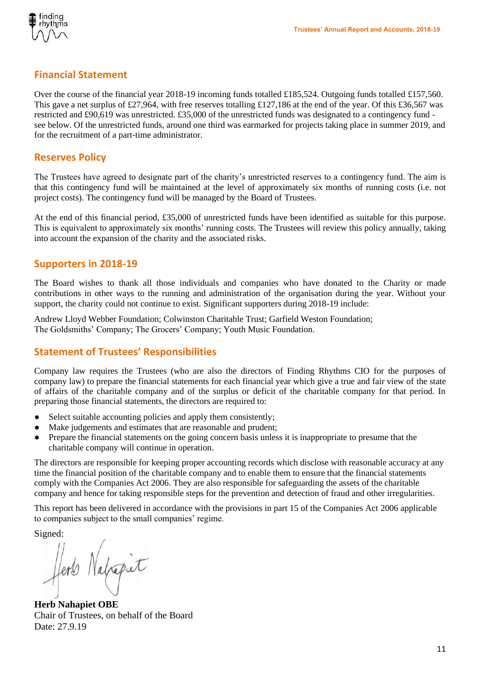

## **Financial Statement**

Over the course of the financial year 2018-19 incoming funds totalled £185,524. Outgoing funds totalled £157,560. This gave a net surplus of £27,964, with free reserves totalling £127,186 at the end of the year. Of this £36,567 was restricted and £90,619 was unrestricted. £35,000 of the unrestricted funds was designated to a contingency fund see below. Of the unrestricted funds, around one third was earmarked for projects taking place in summer 2019, and for the recruitment of a part-time administrator.

## **Reserves Policy**

The Trustees have agreed to designate part of the charity's unrestricted reserves to a contingency fund. The aim is that this contingency fund will be maintained at the level of approximately six months of running costs (i.e. not project costs). The contingency fund will be managed by the Board of Trustees.

At the end of this financial period, £35,000 of unrestricted funds have been identified as suitable for this purpose. This is equivalent to approximately six months' running costs. The Trustees will review this policy annually, taking into account the expansion of the charity and the associated risks.

## **Supporters in 2018-19**

The Board wishes to thank all those individuals and companies who have donated to the Charity or made contributions in other ways to the running and administration of the organisation during the year. Without your support, the charity could not continue to exist. Significant supporters during 2018-19 include:

Andrew Lloyd Webber Foundation; Colwinston Charitable Trust; Garfield Weston Foundation; The Goldsmiths' Company; The Grocers' Company; Youth Music Foundation.

## **Statement of Trustees' Responsibilities**

Company law requires the Trustees (who are also the directors of Finding Rhythms CIO for the purposes of company law) to prepare the financial statements for each financial year which give a true and fair view of the state of affairs of the charitable company and of the surplus or deficit of the charitable company for that period. In preparing those financial statements, the directors are required to:

- Select suitable accounting policies and apply them consistently;
- Make judgements and estimates that are reasonable and prudent;
- Prepare the financial statements on the going concern basis unless it is inappropriate to presume that the charitable company will continue in operation.

The directors are responsible for keeping proper accounting records which disclose with reasonable accuracy at any time the financial position of the charitable company and to enable them to ensure that the financial statements comply with the Companies Act 2006. They are also responsible for safeguarding the assets of the charitable company and hence for taking responsible steps for the prevention and detection of fraud and other irregularities.

This report has been delivered in accordance with the provisions in part 15 of the Companies Act 2006 applicable to companies subject to the small companies' regime.

Signed:

Herb Napapit

**Herb Nahapiet OBE** Chair of Trustees, on behalf of the Board Date: 27.9.19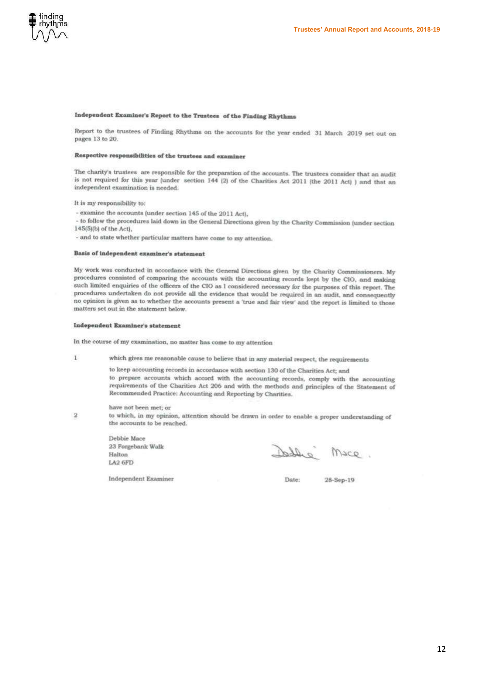

## Independent Examiner's Report to the Trustees of the Finding Rhythms

Report to the trustees of Finding Rhythms on the accounts for the year ended 31 March 2019 set out on pages 13 to 20.

#### Respective responsibilities of the trustees and examiner

The charity's trustees are responsible for the preparation of the accounts. The trustees consider that an audit is not required for this year (under section 144 (2) of the Charities Act 2011 (the 2011 Act) ) and that an independent examination is needed.

It is my responsibility to:

- examine the accounts (under section 145 of the 2011 Act),

- to follow the procedures laid down in the General Directions given by the Charity Commission (under section 145(5)(b) of the Act).

- and to state whether particular matters have come to my attention.

#### Basis of independent examiner's statement

My work was conducted in accordance with the General Directions given by the Charity Commissioners. My procedures consisted of comparing the accounts with the accounting records kept by the CIO, and making such limited enquiries of the officers of the CIO as I considered necessary for the purposes of this report. The procedures undertaken do not provide all the evidence that would be required in an audit, and consequently no opinion is given as to whether the accounts present a 'true and fair view' and the report is limited to those matters set out in the statement below.

#### Independent Examiner's statement

 $\mathbf{1}$ 

 $\overline{2}$ 

In the course of my examination, no matter has come to my attention

which gives me reasonable cause to believe that in any material respect, the requirements

to keep accounting records in accordance with section 130 of the Charities Act; and to prepare accounts which accord with the accounting records, comply with the accounting requirements of the Charities Act 206 and with the methods and principles of the Statement of Recommended Practice: Accounting and Reporting by Charities.

have not been met; or

to which, in my opinion, attention should be drawn in order to enable a proper understanding of the accounts to be reached.

Debbie Mace 23 Forgebank Walk Halton LA2 6FD

allo Mace.

**Independent Examiner** 

Date:

28-Sep-19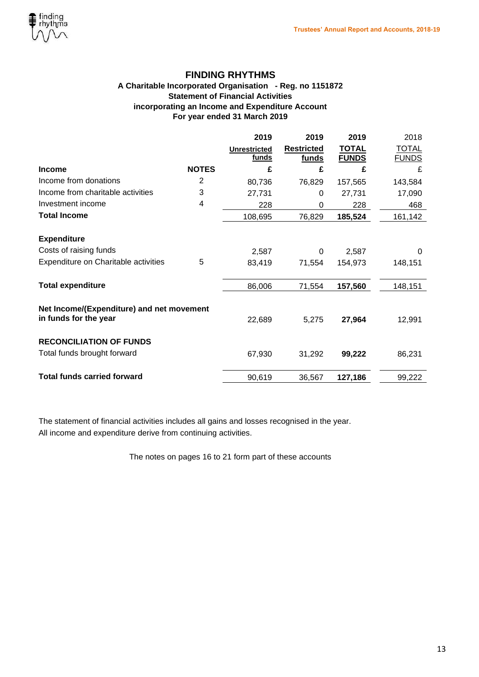## **FINDING RHYTHMS A Charitable Incorporated Organisation - Reg. no 1151872 Statement of Financial Activities incorporating an Income and Expenditure Account For year ended 31 March 2019**

|                                                                    |              | 2019                         | 2019                       | 2019                         | 2018                         |
|--------------------------------------------------------------------|--------------|------------------------------|----------------------------|------------------------------|------------------------------|
|                                                                    |              | <b>Unrestricted</b><br>funds | <b>Restricted</b><br>funds | <b>TOTAL</b><br><b>FUNDS</b> | <b>TOTAL</b><br><b>FUNDS</b> |
| <b>Income</b>                                                      | <b>NOTES</b> | £                            | £                          | £                            | £                            |
| Income from donations                                              | 2            | 80,736                       | 76,829                     | 157,565                      | 143,584                      |
| Income from charitable activities                                  | 3            | 27,731                       | 0                          | 27,731                       | 17,090                       |
| Investment income                                                  | 4            | 228                          | 0                          | 228                          | 468                          |
| <b>Total Income</b>                                                |              | 108,695                      | 76,829                     | 185,524                      | 161,142                      |
| <b>Expenditure</b>                                                 |              |                              |                            |                              |                              |
| Costs of raising funds                                             |              | 2,587                        | 0                          | 2,587                        | 0                            |
| Expenditure on Charitable activities                               | 5            | 83,419                       | 71,554                     | 154,973                      | 148,151                      |
| <b>Total expenditure</b>                                           |              | 86,006                       | 71,554                     | 157,560                      | 148,151                      |
| Net Income/(Expenditure) and net movement<br>in funds for the year |              | 22,689                       | 5,275                      | 27,964                       | 12,991                       |
| <b>RECONCILIATION OF FUNDS</b>                                     |              |                              |                            |                              |                              |
| Total funds brought forward                                        |              | 67,930                       | 31,292                     | 99,222                       | 86,231                       |
| <b>Total funds carried forward</b>                                 |              | 90,619                       | 36,567                     | 127,186                      | 99,222                       |

The statement of financial activities includes all gains and losses recognised in the year. All income and expenditure derive from continuing activities.

The notes on pages 16 to 21 form part of these accounts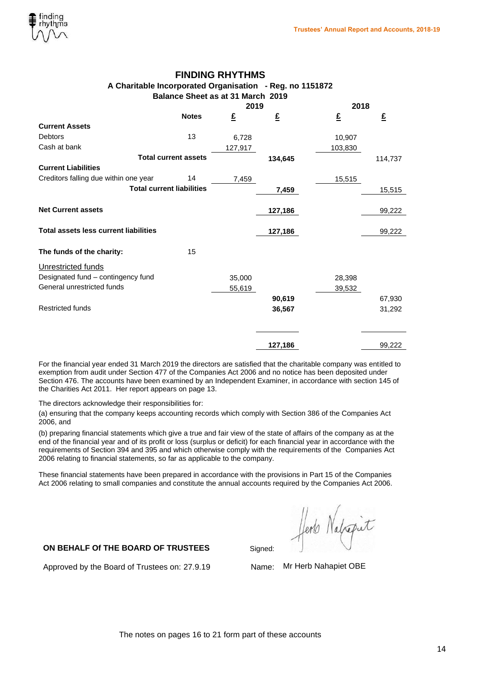#### **FINDING RHYTHMS A Charitable Incorporated Organisation - Reg. no 1151872 Balance Sheet as at 31 March 2019**

|                                              | <b>Dalance Sheet as at 31 March 2019</b> |         |         |         |         |
|----------------------------------------------|------------------------------------------|---------|---------|---------|---------|
|                                              |                                          | 2019    |         | 2018    |         |
|                                              | <b>Notes</b>                             | £       | £       | £       | £       |
| <b>Current Assets</b>                        |                                          |         |         |         |         |
| <b>Debtors</b>                               | 13                                       | 6,728   |         | 10,907  |         |
| Cash at bank                                 |                                          | 127,917 |         | 103,830 |         |
|                                              | <b>Total current assets</b>              |         | 134,645 |         | 114,737 |
| <b>Current Liabilities</b>                   |                                          |         |         |         |         |
| Creditors falling due within one year        | 14                                       | 7,459   |         | 15,515  |         |
|                                              | <b>Total current liabilities</b>         |         | 7,459   |         | 15,515  |
| <b>Net Current assets</b>                    |                                          |         | 127,186 |         | 99,222  |
| <b>Total assets less current liabilities</b> |                                          |         | 127,186 |         | 99,222  |
| The funds of the charity:                    | 15                                       |         |         |         |         |
| Unrestricted funds                           |                                          |         |         |         |         |
| Designated fund - contingency fund           |                                          | 35,000  |         | 28,398  |         |
| General unrestricted funds                   |                                          | 55,619  |         | 39,532  |         |
|                                              |                                          |         | 90,619  |         | 67,930  |
| <b>Restricted funds</b>                      |                                          |         | 36,567  |         | 31,292  |
|                                              |                                          |         |         |         |         |
|                                              |                                          |         | 127,186 |         | 99,222  |

For the financial year ended 31 March 2019 the directors are satisfied that the charitable company was entitled to exemption from audit under Section 477 of the Companies Act 2006 and no notice has been deposited under Section 476. The accounts have been examined by an Independent Examiner, in accordance with section 145 of the Charities Act 2011. Her report appears on page 13.

The directors acknowledge their responsibilities for:

(a) ensuring that the company keeps accounting records which comply with Section 386 of the Companies Act 2006, and

(b) preparing financial statements which give a true and fair view of the state of affairs of the company as at the end of the financial year and of its profit or loss (surplus or deficit) for each financial year in accordance with the requirements of Section 394 and 395 and which otherwise comply with the requirements of the Companies Act 2006 relating to financial statements, so far as applicable to the company.

These financial statements have been prepared in accordance with the provisions in Part 15 of the Companies Act 2006 relating to small companies and constitute the annual accounts required by the Companies Act 2006.

Verto Napapiet

**ON BEHALF Of THE BOARD OF TRUSTEES** Signed:

Approved by the Board of Trustees on: 27.9.19 Name: Mr Herb Nahapiet OBE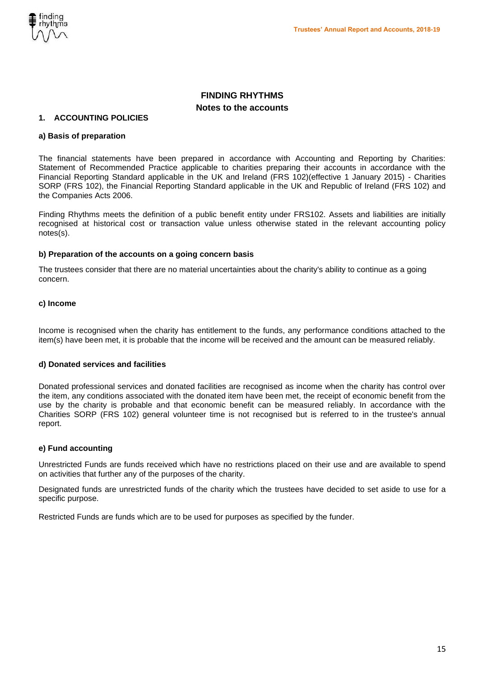

#### **1. ACCOUNTING POLICIES**

#### **a) Basis of preparation**

The financial statements have been prepared in accordance with Accounting and Reporting by Charities: Statement of Recommended Practice applicable to charities preparing their accounts in accordance with the Financial Reporting Standard applicable in the UK and Ireland (FRS 102)(effective 1 January 2015) - Charities SORP (FRS 102), the Financial Reporting Standard applicable in the UK and Republic of Ireland (FRS 102) and the Companies Acts 2006.

Finding Rhythms meets the definition of a public benefit entity under FRS102. Assets and liabilities are initially recognised at historical cost or transaction value unless otherwise stated in the relevant accounting policy notes(s).

#### **b) Preparation of the accounts on a going concern basis**

The trustees consider that there are no material uncertainties about the charity's ability to continue as a going concern.

#### **c) Income**

Income is recognised when the charity has entitlement to the funds, any performance conditions attached to the item(s) have been met, it is probable that the income will be received and the amount can be measured reliably.

#### **d) Donated services and facilities**

Donated professional services and donated facilities are recognised as income when the charity has control over the item, any conditions associated with the donated item have been met, the receipt of economic benefit from the use by the charity is probable and that economic benefit can be measured reliably. In accordance with the Charities SORP (FRS 102) general volunteer time is not recognised but is referred to in the trustee's annual report.

#### **e) Fund accounting**

Unrestricted Funds are funds received which have no restrictions placed on their use and are available to spend on activities that further any of the purposes of the charity.

Designated funds are unrestricted funds of the charity which the trustees have decided to set aside to use for a specific purpose.

Restricted Funds are funds which are to be used for purposes as specified by the funder.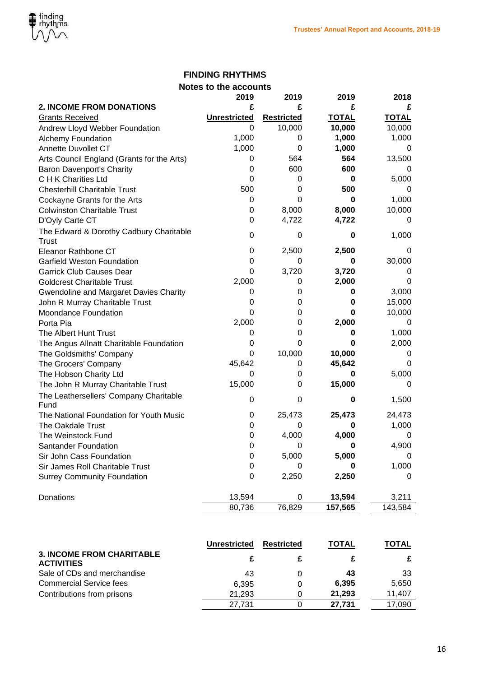|                                                  | 2019                | 2019              | 2019         | 2018         |
|--------------------------------------------------|---------------------|-------------------|--------------|--------------|
| <b>2. INCOME FROM DONATIONS</b>                  | £                   | £                 | £            | £            |
| <b>Grants Received</b>                           | <b>Unrestricted</b> | <b>Restricted</b> | <b>TOTAL</b> | <b>TOTAL</b> |
| Andrew Lloyd Webber Foundation                   | 0                   | 10,000            | 10,000       | 10,000       |
| <b>Alchemy Foundation</b>                        | 1,000               | 0                 | 1,000        | 1,000        |
| <b>Annette Duvollet CT</b>                       | 1,000               | 0                 | 1,000        | 0            |
| Arts Council England (Grants for the Arts)       | 0                   | 564               | 564          | 13,500       |
| Baron Davenport's Charity                        | 0                   | 600               | 600          | 0            |
| C H K Charities Ltd                              | 0                   | 0                 | 0            | 5,000        |
| <b>Chesterhill Charitable Trust</b>              | 500                 | 0                 | 500          | 0            |
| Cockayne Grants for the Arts                     | 0                   | 0                 | 0            | 1,000        |
| <b>Colwinston Charitable Trust</b>               | 0                   | 8,000             | 8,000        | 10,000       |
| D'Oyly Carte CT                                  | 0                   | 4,722             | 4,722        | 0            |
| The Edward & Dorothy Cadbury Charitable<br>Trust | 0                   | 0                 | 0            | 1,000        |
| <b>Eleanor Rathbone CT</b>                       | 0                   | 2,500             | 2,500        | 0            |
| <b>Garfield Weston Foundation</b>                | 0                   | 0                 | 0            | 30,000       |
| <b>Garrick Club Causes Dear</b>                  | 0                   | 3,720             | 3,720        | O            |
| <b>Goldcrest Charitable Trust</b>                | 2,000               | 0                 | 2,000        | 0            |
| Gwendoline and Margaret Davies Charity           | 0                   | 0                 | 0            | 3,000        |
| John R Murray Charitable Trust                   | 0                   | 0                 | 0            | 15,000       |
| Moondance Foundation                             | 0                   | 0                 | 0            | 10,000       |
| Porta Pia                                        | 2,000               | 0                 | 2,000        | 0            |
| The Albert Hunt Trust                            | 0                   | 0                 | 0            | 1,000        |
| The Angus Allnatt Charitable Foundation          | 0                   | $\Omega$          | 0            | 2,000        |
| The Goldsmiths' Company                          | 0                   | 10,000            | 10,000       | 0            |
| The Grocers' Company                             | 45,642              | 0                 | 45,642       | 0            |
| The Hobson Charity Ltd                           | 0                   | 0                 | 0            | 5,000        |
| The John R Murray Charitable Trust               | 15,000              | 0                 | 15,000       | 0            |
| The Leathersellers' Company Charitable<br>Fund   | 0                   | 0                 | 0            | 1,500        |
| The National Foundation for Youth Music          | 0                   | 25,473            | 25,473       | 24,473       |
| The Oakdale Trust                                | 0                   | 0                 | 0            | 1,000        |
| The Weinstock Fund                               | 0                   | 4,000             | 4,000        | 0            |
| Santander Foundation                             | $\mathbf 0$         | 0                 | 0            | 4,900        |
| Sir John Cass Foundation                         | $\pmb{0}$           | 5,000             | 5,000        | 0            |
| Sir James Roll Charitable Trust                  | $\boldsymbol{0}$    | 0                 | 0            | 1,000        |
| <b>Surrey Community Foundation</b>               | $\mathbf 0$         | 2,250             | 2,250        | 0            |
| Donations                                        | 13,594              | 0                 | 13,594       | 3,211        |
|                                                  | 80,736              | 76,829            | 157,565      | 143,584      |

|                                                       | <b>Unrestricted</b> | <b>Restricted</b> | TOTAL  | <b>TOTAL</b> |
|-------------------------------------------------------|---------------------|-------------------|--------|--------------|
| <b>3. INCOME FROM CHARITABLE</b><br><b>ACTIVITIES</b> |                     |                   |        |              |
| Sale of CDs and merchandise                           | 43                  |                   | 43     | 33           |
| <b>Commercial Service fees</b>                        | 6.395               |                   | 6.395  | 5,650        |
| Contributions from prisons                            | 21.293              |                   | 21.293 | 11.407       |
|                                                       | 27.731              |                   | 27.731 | 17.090       |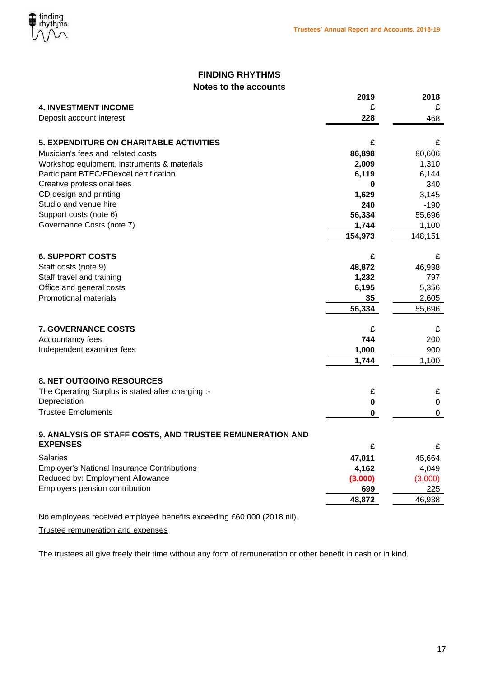|                                                          | 2019    | 2018    |
|----------------------------------------------------------|---------|---------|
| <b>4. INVESTMENT INCOME</b>                              | £       | £       |
| Deposit account interest                                 | 228     | 468     |
| <b>5. EXPENDITURE ON CHARITABLE ACTIVITIES</b>           | £       | £       |
| Musician's fees and related costs                        | 86,898  | 80,606  |
| Workshop equipment, instruments & materials              | 2,009   | 1,310   |
| Participant BTEC/EDexcel certification                   | 6,119   | 6,144   |
| Creative professional fees                               | 0       | 340     |
| CD design and printing                                   | 1,629   | 3,145   |
| Studio and venue hire                                    | 240     | $-190$  |
| Support costs (note 6)                                   | 56,334  | 55,696  |
| Governance Costs (note 7)                                | 1,744   | 1,100   |
|                                                          | 154,973 | 148,151 |
| <b>6. SUPPORT COSTS</b>                                  | £       | £       |
| Staff costs (note 9)                                     | 48,872  | 46,938  |
| Staff travel and training                                | 1,232   | 797     |
| Office and general costs                                 | 6,195   | 5,356   |
| <b>Promotional materials</b>                             | 35      | 2,605   |
|                                                          | 56,334  | 55,696  |
| <b>7. GOVERNANCE COSTS</b>                               | £       | £       |
| Accountancy fees                                         | 744     | 200     |
| Independent examiner fees                                | 1,000   | 900     |
|                                                          | 1,744   | 1,100   |
|                                                          |         |         |
| <b>8. NET OUTGOING RESOURCES</b>                         |         |         |
| The Operating Surplus is stated after charging :-        | £       | £       |
| Depreciation<br><b>Trustee Emoluments</b>                | 0       | 0       |
|                                                          | 0       | 0       |
| 9. ANALYSIS OF STAFF COSTS, AND TRUSTEE REMUNERATION AND |         |         |
| <b>EXPENSES</b>                                          | £       | £       |
| <b>Salaries</b>                                          | 47,011  | 45,664  |
| <b>Employer's National Insurance Contributions</b>       | 4,162   | 4,049   |
| Reduced by: Employment Allowance                         | (3,000) | (3,000) |
| Employers pension contribution                           | 699     | 225     |
|                                                          | 48,872  | 46,938  |
|                                                          |         |         |

No employees received employee benefits exceeding £60,000 (2018 nil).

Trustee remuneration and expenses

The trustees all give freely their time without any form of remuneration or other benefit in cash or in kind.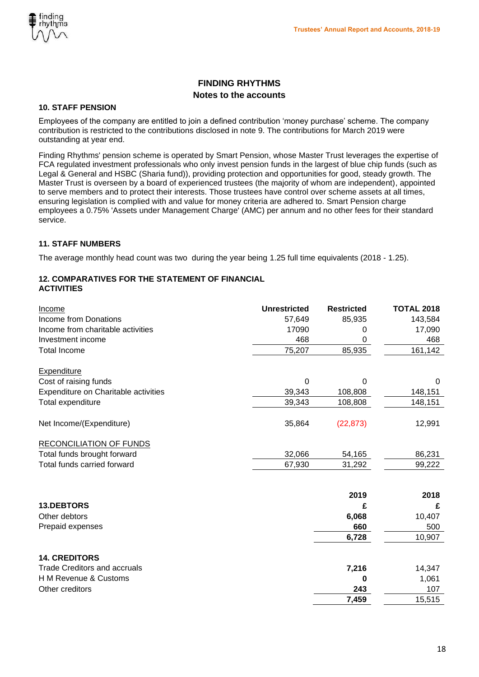#### **10. STAFF PENSION**

Employees of the company are entitled to join a defined contribution 'money purchase' scheme. The company contribution is restricted to the contributions disclosed in note 9. The contributions for March 2019 were outstanding at year end.

Finding Rhythms' pension scheme is operated by Smart Pension, whose Master Trust leverages the expertise of FCA regulated investment professionals who only invest pension funds in the largest of blue chip funds (such as Legal & General and HSBC (Sharia fund)), providing protection and opportunities for good, steady growth. The Master Trust is overseen by a board of experienced trustees (the majority of whom are independent), appointed to serve members and to protect their interests. Those trustees have control over scheme assets at all times, ensuring legislation is complied with and value for money criteria are adhered to. Smart Pension charge employees a 0.75% 'Assets under Management Charge' (AMC) per annum and no other fees for their standard service.

#### **11. STAFF NUMBERS**

The average monthly head count was two during the year being 1.25 full time equivalents (2018 - 1.25).

#### **12. COMPARATIVES FOR THE STATEMENT OF FINANCIAL ACTIVITIES**

| Income                               | <b>Unrestricted</b> | <b>Restricted</b> | <b>TOTAL 2018</b> |
|--------------------------------------|---------------------|-------------------|-------------------|
| Income from Donations                | 57,649              | 85,935            | 143,584           |
| Income from charitable activities    | 17090               | 0                 | 17,090            |
| Investment income                    | 468                 | 0                 | 468               |
| <b>Total Income</b>                  | 75,207              | 85,935            | 161,142           |
| Expenditure                          |                     |                   |                   |
| Cost of raising funds                | 0                   | 0                 | 0                 |
| Expenditure on Charitable activities | 39,343              | 108,808           | 148,151           |
| Total expenditure                    | 39,343              | 108,808           | 148,151           |
| Net Income/(Expenditure)             | 35,864              | (22, 873)         | 12,991            |
| RECONCILIATION OF FUNDS              |                     |                   |                   |
| Total funds brought forward          | 32,066              | 54,165            | 86,231            |
| Total funds carried forward          | 67,930              | 31,292            | 99,222            |
|                                      |                     |                   |                   |
|                                      |                     | 2019              | 2018              |
| <b>13.DEBTORS</b>                    |                     | £                 | £                 |
| Other debtors                        |                     | 6,068             | 10,407            |
| Prepaid expenses                     |                     | 660               | 500               |
|                                      |                     | 6,728             | 10,907            |
| <b>14. CREDITORS</b>                 |                     |                   |                   |
| <b>Trade Creditors and accruals</b>  |                     | 7,216             | 14,347            |
| H M Revenue & Customs                |                     | O                 | 1,061             |
| Other creditors                      |                     | 243               | 107               |
|                                      |                     | 7,459             | 15,515            |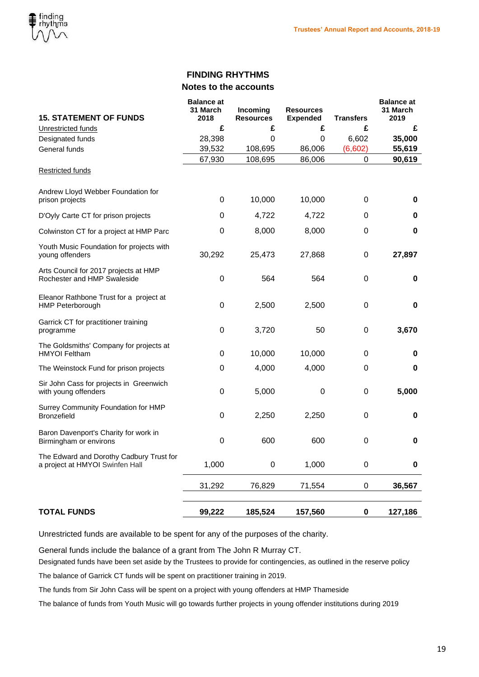| <b>15. STATEMENT OF FUNDS</b>                                               | <b>Balance at</b><br>31 March<br>2018 | Incoming<br><b>Resources</b> | <b>Resources</b><br><b>Expended</b> | <b>Transfers</b> | <b>Balance at</b><br>31 March<br>2019 |
|-----------------------------------------------------------------------------|---------------------------------------|------------------------------|-------------------------------------|------------------|---------------------------------------|
| Unrestricted funds                                                          | £                                     | £                            | £                                   | £                | £                                     |
| Designated funds                                                            | 28,398                                | 0                            | $\overline{0}$                      | 6,602            | 35,000                                |
| General funds                                                               | 39,532                                | 108,695                      | 86,006                              | (6,602)          | 55,619                                |
|                                                                             | 67,930                                | 108,695                      | 86,006                              | 0                | 90,619                                |
| <b>Restricted funds</b>                                                     |                                       |                              |                                     |                  |                                       |
| Andrew Lloyd Webber Foundation for<br>prison projects                       | 0                                     | 10,000                       | 10,000                              | 0                | 0                                     |
| D'Oyly Carte CT for prison projects                                         | 0                                     | 4,722                        | 4,722                               | 0                | 0                                     |
| Colwinston CT for a project at HMP Parc                                     | 0                                     | 8,000                        | 8,000                               | 0                | 0                                     |
| Youth Music Foundation for projects with<br>young offenders                 | 30,292                                | 25,473                       | 27,868                              | 0                | 27,897                                |
| Arts Council for 2017 projects at HMP<br>Rochester and HMP Swaleside        | 0                                     | 564                          | 564                                 | 0                | 0                                     |
| Eleanor Rathbone Trust for a project at<br><b>HMP Peterborough</b>          | 0                                     | 2,500                        | 2,500                               | 0                | 0                                     |
| Garrick CT for practitioner training<br>programme                           | 0                                     | 3,720                        | 50                                  | 0                | 3,670                                 |
| The Goldsmiths' Company for projects at<br><b>HMYOI Feltham</b>             | 0                                     | 10,000                       | 10,000                              | 0                | 0                                     |
| The Weinstock Fund for prison projects                                      | 0                                     | 4,000                        | 4,000                               | 0                | 0                                     |
| Sir John Cass for projects in Greenwich<br>with young offenders             | 0                                     | 5,000                        | $\mathbf 0$                         | 0                | 5,000                                 |
| Surrey Community Foundation for HMP<br><b>Bronzefield</b>                   | 0                                     | 2,250                        | 2,250                               | 0                | 0                                     |
| Baron Davenport's Charity for work in<br>Birmingham or environs             | 0                                     | 600                          | 600                                 | 0                | 0                                     |
| The Edward and Dorothy Cadbury Trust for<br>a project at HMYOI Swinfen Hall | 1,000                                 | $\mathbf 0$                  | 1,000                               | $\boldsymbol{0}$ | 0                                     |
|                                                                             | 31,292                                | 76,829                       | 71,554                              | 0                | 36,567                                |
| <b>TOTAL FUNDS</b>                                                          | 99,222                                | 185,524                      | 157,560                             | 0                | 127,186                               |

Unrestricted funds are available to be spent for any of the purposes of the charity.

General funds include the balance of a grant from The John R Murray CT.

Designated funds have been set aside by the Trustees to provide for contingencies, as outlined in the reserve policy

The balance of Garrick CT funds will be spent on practitioner training in 2019.

The funds from Sir John Cass will be spent on a project with young offenders at HMP Thameside

The balance of funds from Youth Music will go towards further projects in young offender institutions during 2019